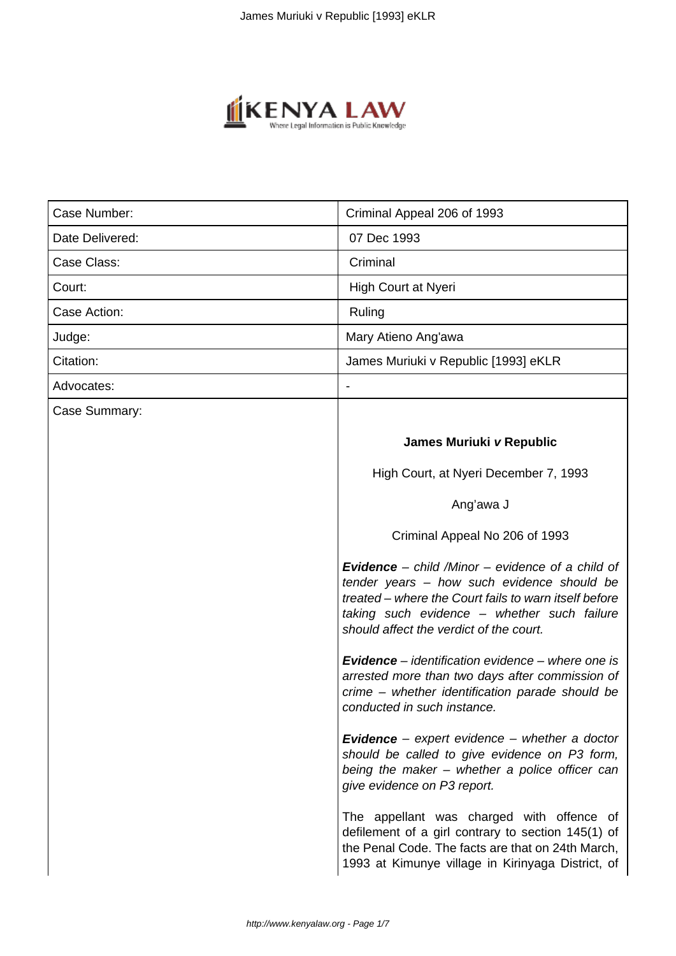

| Case Number:    | Criminal Appeal 206 of 1993                                                                                                                                                                                                                              |
|-----------------|----------------------------------------------------------------------------------------------------------------------------------------------------------------------------------------------------------------------------------------------------------|
| Date Delivered: | 07 Dec 1993                                                                                                                                                                                                                                              |
| Case Class:     | Criminal                                                                                                                                                                                                                                                 |
| Court:          | High Court at Nyeri                                                                                                                                                                                                                                      |
| Case Action:    | Ruling                                                                                                                                                                                                                                                   |
| Judge:          | Mary Atieno Ang'awa                                                                                                                                                                                                                                      |
| Citation:       | James Muriuki v Republic [1993] eKLR                                                                                                                                                                                                                     |
| Advocates:      |                                                                                                                                                                                                                                                          |
| Case Summary:   |                                                                                                                                                                                                                                                          |
|                 | James Muriuki v Republic                                                                                                                                                                                                                                 |
|                 | High Court, at Nyeri December 7, 1993                                                                                                                                                                                                                    |
|                 | Ang'awa J                                                                                                                                                                                                                                                |
|                 | Criminal Appeal No 206 of 1993                                                                                                                                                                                                                           |
|                 | <b>Evidence</b> – child /Minor – evidence of a child of<br>tender years - how such evidence should be<br>treated – where the Court fails to warn itself before<br>taking such evidence - whether such failure<br>should affect the verdict of the court. |
|                 | <b>Evidence</b> – identification evidence – where one is<br>arrested more than two days after commission of<br>crime - whether identification parade should be<br>conducted in such instance.                                                            |
|                 | <b>Evidence</b> – expert evidence – whether a doctor<br>should be called to give evidence on P3 form,<br>being the maker - whether a police officer can<br>give evidence on P3 report.                                                                   |
|                 | The appellant was charged with offence of<br>defilement of a girl contrary to section 145(1) of<br>the Penal Code. The facts are that on 24th March,<br>1993 at Kimunye village in Kirinyaga District, of                                                |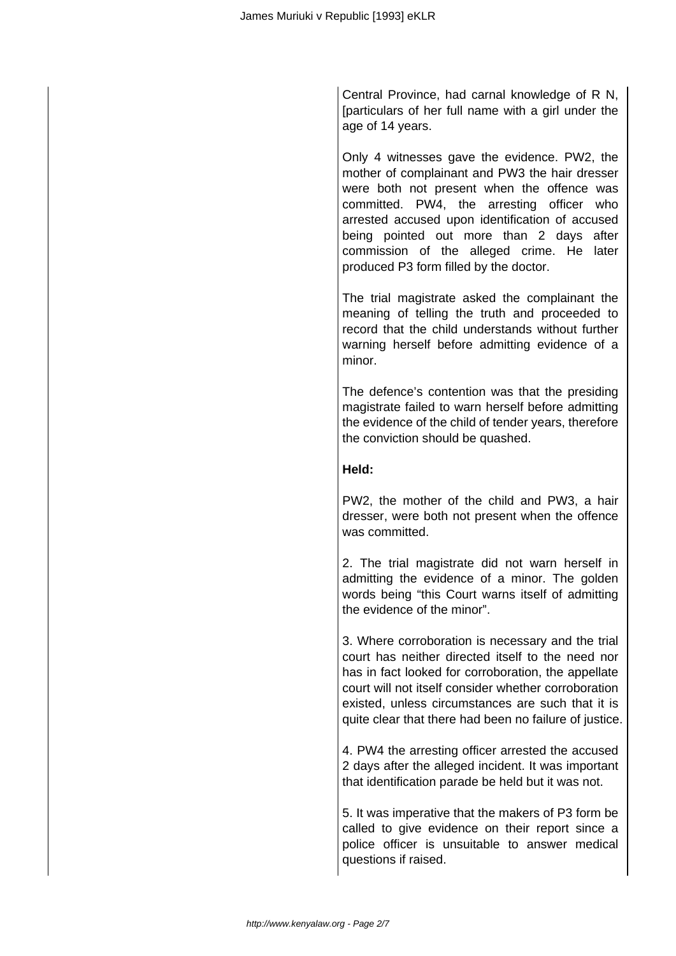Central Province, had carnal knowledge of R N, [particulars of her full name with a girl under the age of 14 years.

Only 4 witnesses gave the evidence. PW2, the mother of complainant and PW3 the hair dresser were both not present when the offence was committed. PW4, the arresting officer who arrested accused upon identification of accused being pointed out more than 2 days after commission of the alleged crime. He later produced P3 form filled by the doctor.

The trial magistrate asked the complainant the meaning of telling the truth and proceeded to record that the child understands without further warning herself before admitting evidence of a minor.

The defence's contention was that the presiding magistrate failed to warn herself before admitting the evidence of the child of tender years, therefore the conviction should be quashed.

# **Held:**

PW2, the mother of the child and PW3, a hair dresser, were both not present when the offence was committed.

2. The trial magistrate did not warn herself in admitting the evidence of a minor. The golden words being "this Court warns itself of admitting the evidence of the minor".

3. Where corroboration is necessary and the trial court has neither directed itself to the need nor has in fact looked for corroboration, the appellate court will not itself consider whether corroboration existed, unless circumstances are such that it is quite clear that there had been no failure of justice.

4. PW4 the arresting officer arrested the accused 2 days after the alleged incident. It was important that identification parade be held but it was not.

5. It was imperative that the makers of P3 form be called to give evidence on their report since a police officer is unsuitable to answer medical questions if raised.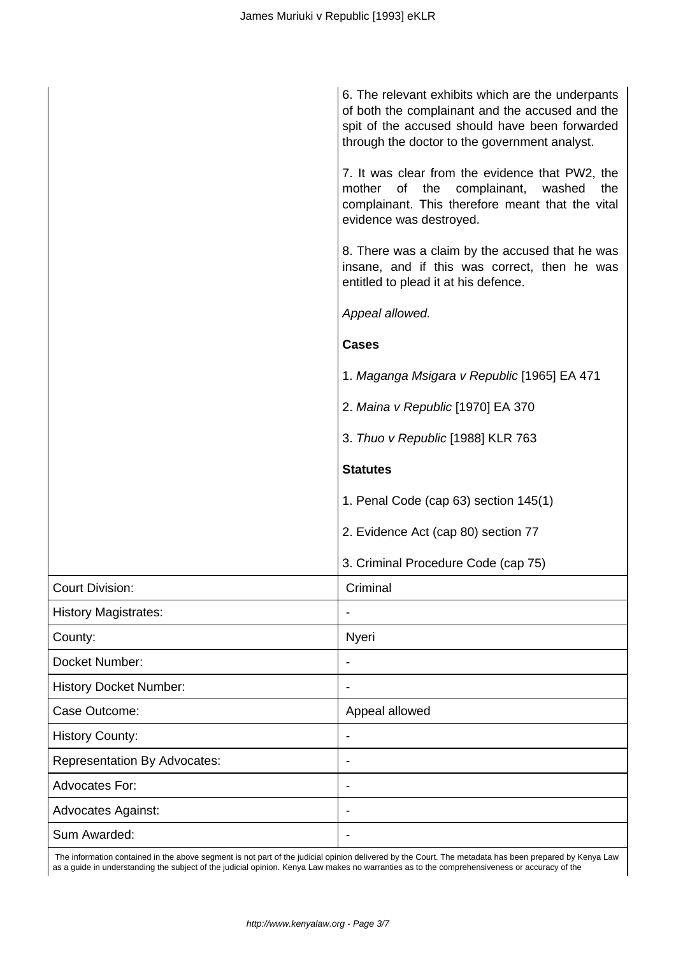| 7. It was clear from the evidence that PW2, the                                                                                         |  |
|-----------------------------------------------------------------------------------------------------------------------------------------|--|
| of the complainant, washed the<br>mother<br>complainant. This therefore meant that the vital<br>evidence was destroyed.                 |  |
| 8. There was a claim by the accused that he was<br>insane, and if this was correct, then he was<br>entitled to plead it at his defence. |  |
| Appeal allowed.                                                                                                                         |  |
| <b>Cases</b>                                                                                                                            |  |
| 1. Maganga Msigara v Republic [1965] EA 471                                                                                             |  |
| 2. Maina v Republic [1970] EA 370                                                                                                       |  |
| 3. Thuo v Republic [1988] KLR 763                                                                                                       |  |
| <b>Statutes</b>                                                                                                                         |  |
| 1. Penal Code (cap 63) section 145(1)                                                                                                   |  |
| 2. Evidence Act (cap 80) section 77                                                                                                     |  |
| 3. Criminal Procedure Code (cap 75)                                                                                                     |  |
| <b>Court Division:</b><br>Criminal                                                                                                      |  |
| <b>History Magistrates:</b>                                                                                                             |  |
| Nyeri<br>County:                                                                                                                        |  |
| Docket Number:                                                                                                                          |  |
| <b>History Docket Number:</b>                                                                                                           |  |
| Case Outcome:<br>Appeal allowed                                                                                                         |  |
| <b>History County:</b>                                                                                                                  |  |
| <b>Representation By Advocates:</b>                                                                                                     |  |
| Advocates For:<br>۰                                                                                                                     |  |
| <b>Advocates Against:</b>                                                                                                               |  |
| Sum Awarded:                                                                                                                            |  |

 The information contained in the above segment is not part of the judicial opinion delivered by the Court. The metadata has been prepared by Kenya Law as a guide in understanding the subject of the judicial opinion. Kenya Law makes no warranties as to the comprehensiveness or accuracy of the

I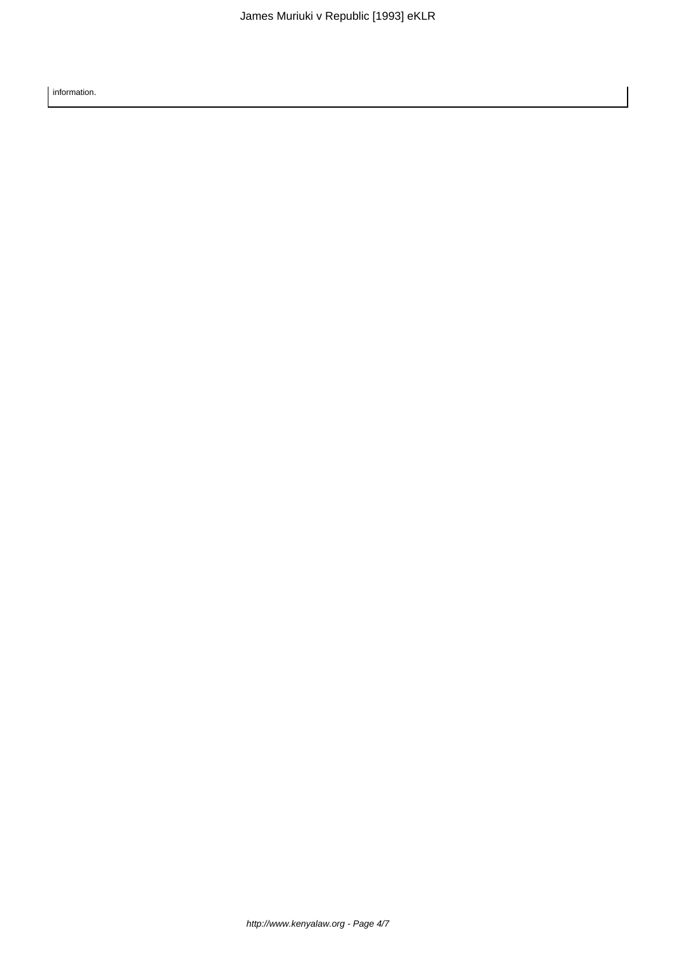information.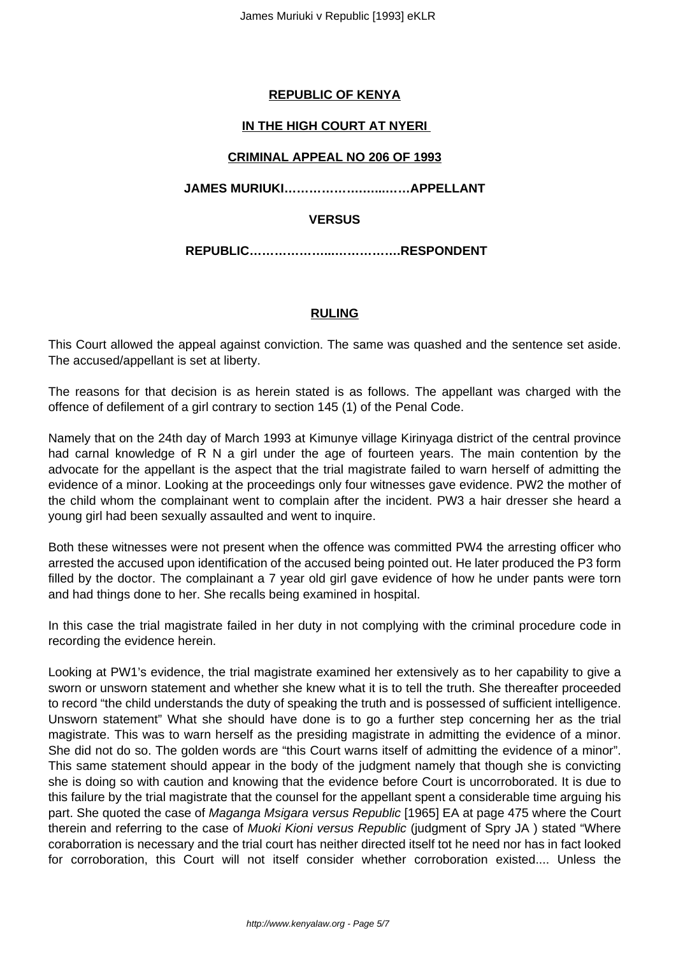# **REPUBLIC OF KENYA**

# **IN THE HIGH COURT AT NYERI**

## **CRIMINAL APPEAL NO 206 OF 1993**

**JAMES MURIUKI……………….…...……APPELLANT**

## **VERSUS**

**REPUBLIC………………...…………….RESPONDENT**

#### **RULING**

This Court allowed the appeal against conviction. The same was quashed and the sentence set aside. The accused/appellant is set at liberty.

The reasons for that decision is as herein stated is as follows. The appellant was charged with the offence of defilement of a girl contrary to section 145 (1) of the Penal Code.

Namely that on the 24th day of March 1993 at Kimunye village Kirinyaga district of the central province had carnal knowledge of R N a girl under the age of fourteen years. The main contention by the advocate for the appellant is the aspect that the trial magistrate failed to warn herself of admitting the evidence of a minor. Looking at the proceedings only four witnesses gave evidence. PW2 the mother of the child whom the complainant went to complain after the incident. PW3 a hair dresser she heard a young girl had been sexually assaulted and went to inquire.

Both these witnesses were not present when the offence was committed PW4 the arresting officer who arrested the accused upon identification of the accused being pointed out. He later produced the P3 form filled by the doctor. The complainant a 7 year old girl gave evidence of how he under pants were torn and had things done to her. She recalls being examined in hospital.

In this case the trial magistrate failed in her duty in not complying with the criminal procedure code in recording the evidence herein.

Looking at PW1's evidence, the trial magistrate examined her extensively as to her capability to give a sworn or unsworn statement and whether she knew what it is to tell the truth. She thereafter proceeded to record "the child understands the duty of speaking the truth and is possessed of sufficient intelligence. Unsworn statement" What she should have done is to go a further step concerning her as the trial magistrate. This was to warn herself as the presiding magistrate in admitting the evidence of a minor. She did not do so. The golden words are "this Court warns itself of admitting the evidence of a minor". This same statement should appear in the body of the judgment namely that though she is convicting she is doing so with caution and knowing that the evidence before Court is uncorroborated. It is due to this failure by the trial magistrate that the counsel for the appellant spent a considerable time arguing his part. She quoted the case of Maganga Msigara versus Republic [1965] EA at page 475 where the Court therein and referring to the case of Muoki Kioni versus Republic (judgment of Spry JA) stated "Where coraborration is necessary and the trial court has neither directed itself tot he need nor has in fact looked for corroboration, this Court will not itself consider whether corroboration existed.... Unless the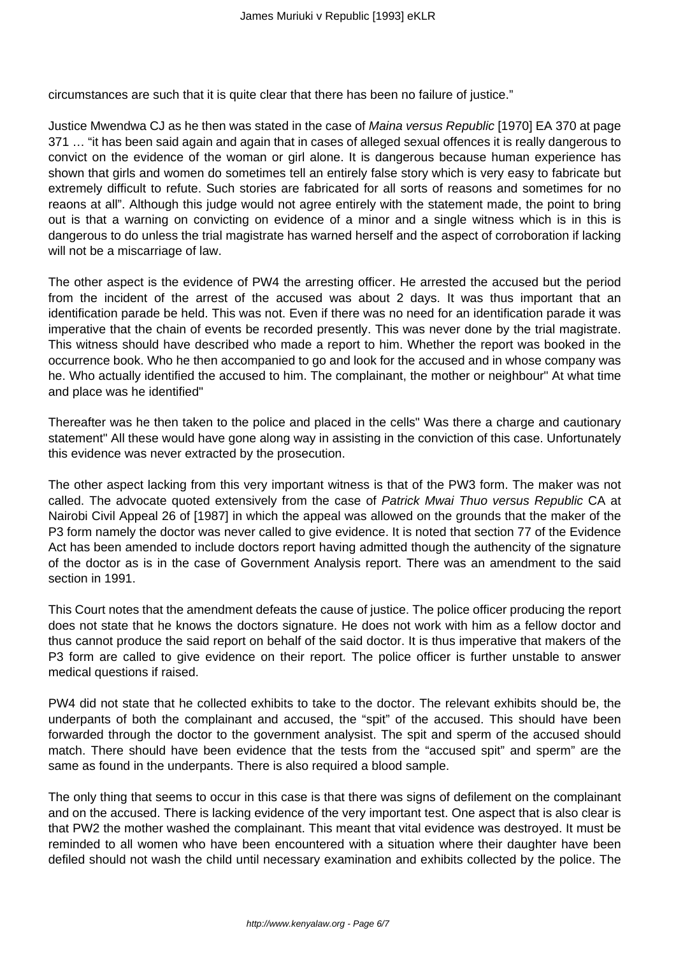circumstances are such that it is quite clear that there has been no failure of justice."

Justice Mwendwa CJ as he then was stated in the case of Maina versus Republic [1970] EA 370 at page 371 ... "it has been said again and again that in cases of alleged sexual offences it is really dangerous to convict on the evidence of the woman or girl alone. It is dangerous because human experience has shown that girls and women do sometimes tell an entirely false story which is very easy to fabricate but extremely difficult to refute. Such stories are fabricated for all sorts of reasons and sometimes for no reaons at all". Although this judge would not agree entirely with the statement made, the point to bring out is that a warning on convicting on evidence of a minor and a single witness which is in this is dangerous to do unless the trial magistrate has warned herself and the aspect of corroboration if lacking will not be a miscarriage of law.

The other aspect is the evidence of PW4 the arresting officer. He arrested the accused but the period from the incident of the arrest of the accused was about 2 days. It was thus important that an identification parade be held. This was not. Even if there was no need for an identification parade it was imperative that the chain of events be recorded presently. This was never done by the trial magistrate. This witness should have described who made a report to him. Whether the report was booked in the occurrence book. Who he then accompanied to go and look for the accused and in whose company was he. Who actually identified the accused to him. The complainant, the mother or neighbour" At what time and place was he identified"

Thereafter was he then taken to the police and placed in the cells" Was there a charge and cautionary statement" All these would have gone along way in assisting in the conviction of this case. Unfortunately this evidence was never extracted by the prosecution.

The other aspect lacking from this very important witness is that of the PW3 form. The maker was not called. The advocate quoted extensively from the case of Patrick Mwai Thuo versus Republic CA at Nairobi Civil Appeal 26 of [1987] in which the appeal was allowed on the grounds that the maker of the P3 form namely the doctor was never called to give evidence. It is noted that section 77 of the Evidence Act has been amended to include doctors report having admitted though the authencity of the signature of the doctor as is in the case of Government Analysis report. There was an amendment to the said section in 1991.

This Court notes that the amendment defeats the cause of justice. The police officer producing the report does not state that he knows the doctors signature. He does not work with him as a fellow doctor and thus cannot produce the said report on behalf of the said doctor. It is thus imperative that makers of the P3 form are called to give evidence on their report. The police officer is further unstable to answer medical questions if raised.

PW4 did not state that he collected exhibits to take to the doctor. The relevant exhibits should be, the underpants of both the complainant and accused, the "spit" of the accused. This should have been forwarded through the doctor to the government analysist. The spit and sperm of the accused should match. There should have been evidence that the tests from the "accused spit" and sperm" are the same as found in the underpants. There is also required a blood sample.

The only thing that seems to occur in this case is that there was signs of defilement on the complainant and on the accused. There is lacking evidence of the very important test. One aspect that is also clear is that PW2 the mother washed the complainant. This meant that vital evidence was destroyed. It must be reminded to all women who have been encountered with a situation where their daughter have been defiled should not wash the child until necessary examination and exhibits collected by the police. The